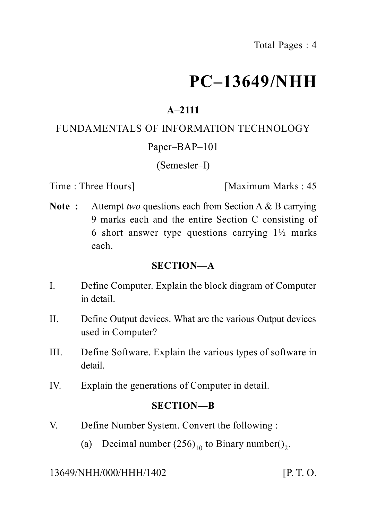# **PC–13649/NHH**

# **A–2111**

#### FUNDAMENTALS OF INFORMATION TECHNOLOGY

#### Paper–BAP–101

#### (Semester–I)

Time : Three Hours] [Maximum Marks : 45]

**Note :** Attempt *two* questions each from Section A & B carrying 9 marks each and the entire Section C consisting of 6 short answer type questions carrying  $1\frac{1}{2}$  marks each.

#### **SECTION—A**

- I. Define Computer. Explain the block diagram of Computer in detail.
- II. Define Output devices. What are the various Output devices used in Computer?
- III. Define Software. Explain the various types of software in detail.
- IV. Explain the generations of Computer in detail.

#### **SECTION—B**

- V. Define Number System. Convert the following :
	- (a) Decimal number  $(256)_{10}$  to Binary number()<sub>2</sub>.

#### 13649/NHH/000/HHH/1402 [P. T. O.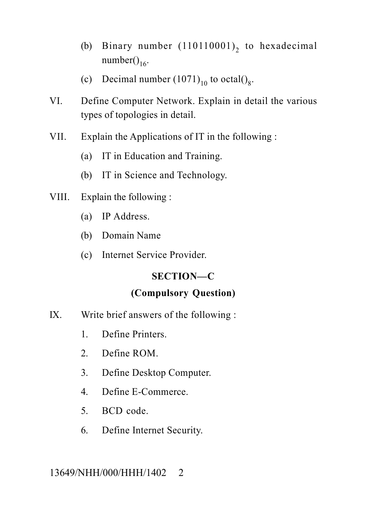- (b) Binary number  $(110110001)_2$  to hexadecimal number $()$ <sub>16</sub>.
- (c) Decimal number  $(1071)_{10}$  to octal()<sub>8</sub>.
- VI. Define Computer Network. Explain in detail the various types of topologies in detail.
- VII. Explain the Applications of IT in the following :
	- (a) IT in Education and Training.
	- (b) IT in Science and Technology.
- VIII. Explain the following :
	- (a) IP Address.
	- (b) Domain Name
	- (c) Internet Service Provider.

## **SECTION—C**

## **(Compulsory Question)**

- IX. Write brief answers of the following :
	- 1. Define Printers.
	- 2. Define ROM.
	- 3. Define Desktop Computer.
	- 4. Define E-Commerce.
	- 5. BCD code.
	- 6. Define Internet Security.

## 13649/NHH/000/HHH/1402 2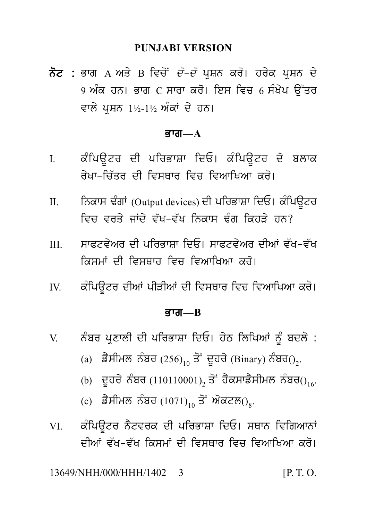PUNJABI VERSION<br>ਨੋਟ : ਭਾਗ A ਅਤੇ B ਵਿਚੋਂ *ਦੋ–ਦੋ* ਪ੍ਰਸ਼ਨ ਕਰੋ। ਹਰੇਕ ਪ੍ਰਸ਼ਨ ਦੇ<br>9 ਅੰਕ ਹਨ। ਭਾਗ C ਸਾਰਾ ਕਰੋ। ਇਸ ਵਿਚ 6 ਸੰਖੇਪ ਉੱਤਰ<br>ਵਾਲੇ ਪਸ਼ਨ 1½-1½ ਅੰਕਾਂ ਦੇ ਹਨ। PUNJABI VERSION<br>ਭਾਗ A ਅਤੇ B ਵਿਚੋਂ *ਦੋ–ਦੋ* ਪ੍ਰਸ਼ਨ ਕਰੋ। ਹਰੇਕ ਪ੍ਰਸ਼ਨ ਦੇ<br>9 ਅੰਕ ਹਨ। ਭਾਗ C ਸਾਰਾ ਕਰੋ। ਇਸ ਵਿਚ 6 ਸੰਖੇਪ ਉੱਤਰ<br>ਵਾਲੇ ਪ੍ਰਸ਼ਨ 1½-1½ ਅੰਕਾਂ ਦੇ ਹਨ। **ਨੋਟ :** ਭਾਗ A ਅਤੇ B ਵਿਚੋਂ *ਦੋ–ਦੋ* ਪ੍ਰਸ਼ਨ ਕਰੋ। ਹਰੇਕ ਪ੍ਰਸ਼ਨ ਦੇ<br>9 ਅੰਕ ਹਨ। ਭਾਗ C ਸਾਰਾ ਕਰੋ। ਇਸ ਵਿਚ 6 ਸੰਖੇਪ ਉੱਤਰ<br>ਵਾਲੇ ਪੁਸ਼ਨ 1½-1½ ਅੰਕਾਂ ਦੇ ਹਨ।

#### ਭਾਗ $-A$

- ਵਾਲੇ ਪ੍ਰਸ਼ਨ 1½-1½ ਅੰਕਾਂ ਦੇ ਹਨ।<br>**ਭਾਗ—A**<br>I. ਕੰਪਿਊਟਰ ਦੀ ਪਰਿਭਾਸ਼ਾ ਦਿਓ। ਕੰਪਿਊਟਰ ਦੇ ਬਲਾਕ<br>ਰੇਖਾ–ਚਿੱਤਰ ਦੀ ਵਿਸਥਾਰ ਵਿਚ ਵਿਆਖਿਆ ਕਰੋ। ਕੰਪਿਊਟਰ ਦੀ ਪਰਿਭਾਸ਼ਾ ਦਿਓ। ਕੰਪਿਊਟਰ ਦੇ ਬਲਾਕ<br>ਰੇਖਾ-ਚਿੱਤਰ ਦੀ ਵਿਸਥਾਰ ਵਿਚ ਵਿਆਖਿਆ ਕਰੋ।<br>ਨਿਕਾਸ ਢੰਗਾਂ (Output devices) ਦੀ ਪਰਿਭਾਸ਼ਾ ਦਿਓ। ਕੰਪਿਊਟਰ<br>ਵਿਜ ਵਰਤੇ ਜਾਂਦੇ ਵੱਖ-ਵੱਖ ਨਿਕਾਸ ਢੰਗ ਕਿਹੜੇ ਹਨ?
- I. ਕੰਪਿਊਟਰ ਦੀ ਪਰਿਭਾਸ਼ਾ ਦਿਓ। ਕੰਪਿਊਟਰ ਦੇ ਬਲਾਕ<br>ਰੇਖਾ-ਚਿੱਤਰ ਦੀ ਵਿਸਥਾਰ ਵਿਚ ਵਿਆਖਿਆ ਕਰੋ।<br>II. ਨਿਕਾਸ ਢੰਗਾਂ (Output devices) ਦੀ ਪਰਿਭਾਸ਼ਾ ਦਿਓ। ਕੰਪਿਊਟਰ<br>ਵਿਚ ਵਰਤੇ ਜਾਂਦੇ ਵੱਖ-ਵੱਖ ਨਿਕਾਸ ਢੰਗ ਕਿਹੜੇ ਹਨ? ਨਿਕਾਸ ਢੰਗਾਂ (Output devices) ਦੀ ਪਰਿਭਾਸ਼ਾ ਦਿਓ। ਕੰਪਿਊਟਰ<br>ਵਿਚ ਵਰਤੇ ਜਾਂਦੇ ਵੱਖ-ਵੱਖ ਨਿਕਾਸ ਢੰਗ ਕਿਹੜੇ ਹਨ?<br>ਸਾਫਟਵੇਅਰ ਦੀ ਪਰਿਭਾਸ਼ਾ ਦਿਓ। ਸਾਫਟਵੇਅਰ ਦੀਆਂ ਵੱਖ-ਵੱਖ<br>ਕਿਸਮਾਂ ਦੀ ਵਿਸਥਾਰ ਵਿਚ ਵਿਆਖਿਆ ਕਰੋ। III. swPtv yAr dI pirBwSw idE[ swPtv yAr dIAW v `K-v `K
- IV. k Mipa Utr dIAW pIVIAW dI ivsQwr ivc ivAwiKAw kr o[
- ਕੰਪਿੳਟਰ ਦੀਆਂ ਪੀੜੀਆਂ ਦੀ ਵਿਸਥਾਰ ਵਿਚ ਵਿਆਖਿਆ ਕਰੋ।

#### <u>ਭਾਗ—B</u>

- IV. ਕੰਪਿਊਟਰ ਦੀਆਂ ਪੀੜੀਆਂ ਦੀ ਵਿਸਥਾਰ ਵਿਚ ਵਿਆਖਿਆ ਕਰੋ।<br>**ਭਾਗ—B<br>V. ਨੰਬਰ ਪ੍ਰਣਾ**ਲੀ ਦੀ ਪਰਿਭਾਸ਼ਾ ਦਿਓ। ਹੇਠ ਲਿਖਿਆਂ ਨੂੰ ਬਦਲੋ :<br>(a) ਡੈਸੀਮਲ ਨੰਬਰ (256)<sub>10</sub> ਤੋਂ ਦੂਹਰੇ (Binary) ਨੰਬਰ()<sub>2</sub>.
	- **ਭਾਗ—B<br>ਨੰਬਰ ਪ੍ਰਣਾਲੀ ਦੀ ਪਰਿਭਾਸ਼ਾ ਦਿਓ। ਹੇਠ ਲਿਖਿਆਂ** ਨੂੰ ਬਦਲੋ :<br>(a) ਡੈਸੀਮਲ ਨੰਬਰ (256)<sub>10</sub> ਤੋਂ ਦੂਹਰੇ (Binary) ਨੰਬਰ()<sub>2</sub>.<br>(b) ਦੂਹਰੇ ਨੰਬਰ (110110001)<sub>2</sub> ਤੋਂ ਹੈਕਸਾਡੈਸੀਮਲ ਨੰਬਰ()<sub>16</sub>. (a) ਡੈਸੀਮਲ ਨੰਬਰ (256)<sub>10</sub> ਤੋ<sup>:</sup> ਦੁਹਰੇ (Binary) ਨੰਬਰ()<sub>2</sub>.
	-
	- (c) ਡੈਸੀਮਲ ਨੰਬਰ  $(1071)_{10}$  ਤੋਂ ਔਕਟਲ $()_{8}$ .
- ਨੰਬਰ ਪ੍ਰਣਾਲੀ ਦੀ ਪਰਿਭਾਸ਼ਾ ਦਿਓ। ਹੇਠ ਲਿਖਿਆਂ ਨੂੰ ਬਦਲੋ :<br>(a) ਡੈਸੀਮਲ ਨੰਬਰ (256)<sub>10</sub> ਤੋਂ ਦੂਹਰੇ (Binary) ਨੰਬਰ()<sub>2</sub>.<br>(b) ਦੂਹਰੇ ਨੰਬਰ (110110001)<sub>2</sub> ਤੋਂ ਹੈਕਸਾਡੈਸੀਮਲ ਨੰਬਰ()<sub>16</sub>.<br>(c) ਡੈਸੀਮਲ ਨੰਬਰ (1071)<sub>10</sub> ਤੋਂ ਅੋਕਟਲ()<sub>8</sub>.<br>ਕੰਪਿਊਟਰ (b) ਦੂਹਰੇ ਨੰਬਰ $(110110001)_2$ ਤੋਂ ਹੈਕਸਾਡੈਸੀਮਲ ਨੰਬਰ $O_{16}$ .<br>(c) ਡੈਸੀਮਲ ਨੰਬਰ $(1071)_{10}$ ਤੋਂ ਔਕਟਲ $O_8$ .<br>VI. ਕੰਪਿਊਟਰ ਨੈਟਵਰਕ ਦੀ ਪਰਿਭਾਸ਼ਾ ਦਿਓ। ਸਥਾਨ ਵਿਗਿਆਨਾਂ<br>ਦੀਆਂ ਵੱਖ–ਵੱਖ ਕਿਸਮਾਂ ਦੀ ਵਿਸਥਾਰ ਵਿਚ ਵਿਆਖਿਆ ਕਰੋ। (c) ਡੈਸੀਮਲ ਨੰਬਰ $(1071)_{10}$ ਤੋਂ ਔਕਟਲ $()_8$ .<br>ਕੰਪਿਊਟਰ ਨੈਟਵਰਕ ਦੀ ਪਰਿਭਾਸ਼ਾ ਦਿਓ। ਸਥਾਨ ਵਿਗਿਆਨਾਂ<br>ਦੀਆਂ ਵੱਖ-ਵੱਖ ਕਿਸਮਾਂ ਦੀ ਵਿਸਥਾਰ ਵਿਚ ਵਿਆਖਿਆ ਕਰੋ।<br>NHH/000/HHH/1402 3 [P.T.O.